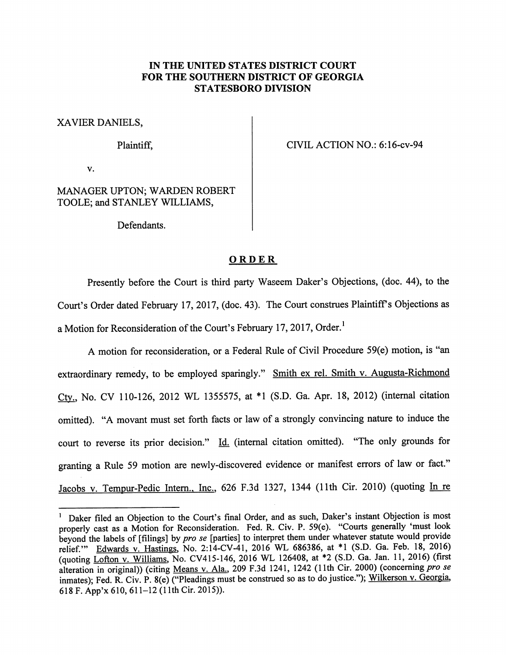## *IN THE UNITED STATES DISTRICT COURT FOR THE SOUTHERN DISTRICT OF GEORGIA STATESBORO DIVISION*

XAVIER DANIELS,

Plaintiff,

CIVIL ACTION NO.: 6:16-cv-94

 $\mathbf{v}$ .

MANAGER UPTON; WARDEN ROBERT TOOLE; and STANLEY WILLIAMS,

Defendants.

## *ORDER*

Presently before the Court is third party Waseem Daker's Objections, (doc. 44), to the Court's Order dated February 17, 2017, (doc. 43). The Court construes Plaintiff's Objections as a Motion for Reconsideration of the Court's February 17, 2017, Order.<sup>1</sup>

A motion for reconsideration, or a Federal Rule of Civil Procedure 59(e) motion, is "an extraordinary remedy, to be employed sparingly." Smith ex rel. Smith v. Augusta-Richmond Ctv.. No. CV 110-126, 2012 WL 1355575, at \*1 (S.D. Ga. Apr. 18, 2012) (internal citation omitted). "A movant must set forth facts or law of a strongly convincing nature to induce the court to reverse its prior decision." Id. (internal citation omitted). "The only grounds for granting a Rule 59 motion are newly-discovered evidence or manifest errors of law or fact." Jacobs v. Tempur-Pedic Intern., Inc., 626 F.3d 1327, 1344 (11th Cir. 2010) (quoting In re

<sup>&</sup>lt;sup>1</sup> Daker filed an Objection to the Court's final Order, and as such, Daker's instant Objection is most properly cast as a Motion for Reconsideration. Fed. R. Civ. P. 59(e). "Courts generally 'must look beyond the labels of [filings] by *pro se* [parties] to interpret them under whatever statute would provide relief.'" Edwards v. Hastings. No. 2:14-CV-41, 2016 WL 686386, at \*1 (S.D. Ga. Feb. 18, 2016) (quoting Lofton v. Williams. No. CV415-146, 2016 WL 126408, at \*2 (S.D. Ga. Jan. 11, 2016) (first alteration in original)) (citing Means v. Ala.. 209 F.3d 1241, 1242 (11th Cir. 2000) (concerning **pro se** inmates); Fed. R. Civ. P. 8(e) ("Pleadings must be construed so as to do justice."); Wilkerson v. Georgia, 618 F.App'x 610, 611-12 (11th Cir. 2015)).